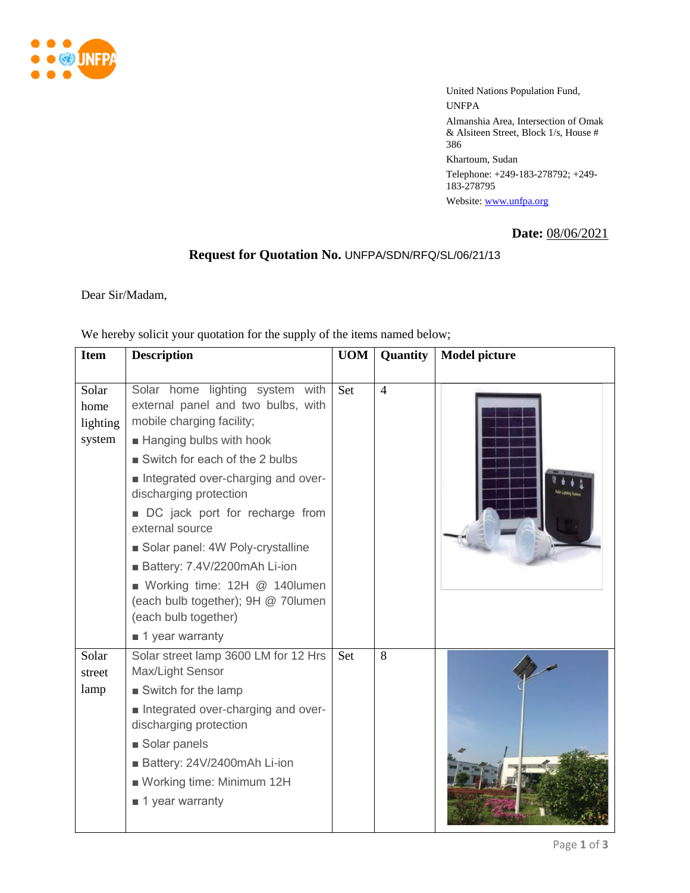

United Nations Population Fund, UNFPA Almanshia Area, Intersection of Omak & Alsiteen Street, Block 1/s, House # 386 Khartoum, Sudan Telephone: +249-183-278792; +249- 183-278795 Website: [www.unfpa.org](http://www.unfpa.org/)

**Date:** 08/06/2021

## **Request for Quotation No.** UNFPA/SDN/RFQ/SL/06/21/13

Dear Sir/Madam,

| We hereby solicit your quotation for the supply of the items named below; |                    |  |                           |  |  |
|---------------------------------------------------------------------------|--------------------|--|---------------------------|--|--|
|                                                                           | Item   Description |  | UOM   Quantity   Model pi |  |  |

| <b>Item</b>                         | <b>Description</b>                                                                                                                                                                                                                                                                                                                                                                                                                                                                      | <b>UOM</b> | Quantity       | <b>Model picture</b> |
|-------------------------------------|-----------------------------------------------------------------------------------------------------------------------------------------------------------------------------------------------------------------------------------------------------------------------------------------------------------------------------------------------------------------------------------------------------------------------------------------------------------------------------------------|------------|----------------|----------------------|
| Solar<br>home<br>lighting<br>system | Solar home<br>lighting system with<br>external panel and two bulbs, with<br>mobile charging facility;<br>■ Hanging bulbs with hook<br>Switch for each of the 2 bulbs<br>Integrated over-charging and over-<br>discharging protection<br>DC jack port for recharge from<br>external source<br>Solar panel: 4W Poly-crystalline<br>Battery: 7.4V/2200mAh Li-ion<br>■ Working time: 12H @ 140lumen<br>(each bulb together); 9H @ 70lumen<br>(each bulb together)<br><b>1</b> year warranty | Set        | $\overline{4}$ |                      |
| Solar<br>street<br>lamp             | Solar street lamp 3600 LM for 12 Hrs<br>Max/Light Sensor<br>Switch for the lamp<br>Integrated over-charging and over-<br>discharging protection<br>Solar panels<br>Battery: 24V/2400mAh Li-ion<br>Working time: Minimum 12H<br>■ 1 year warranty                                                                                                                                                                                                                                        | <b>Set</b> | 8              |                      |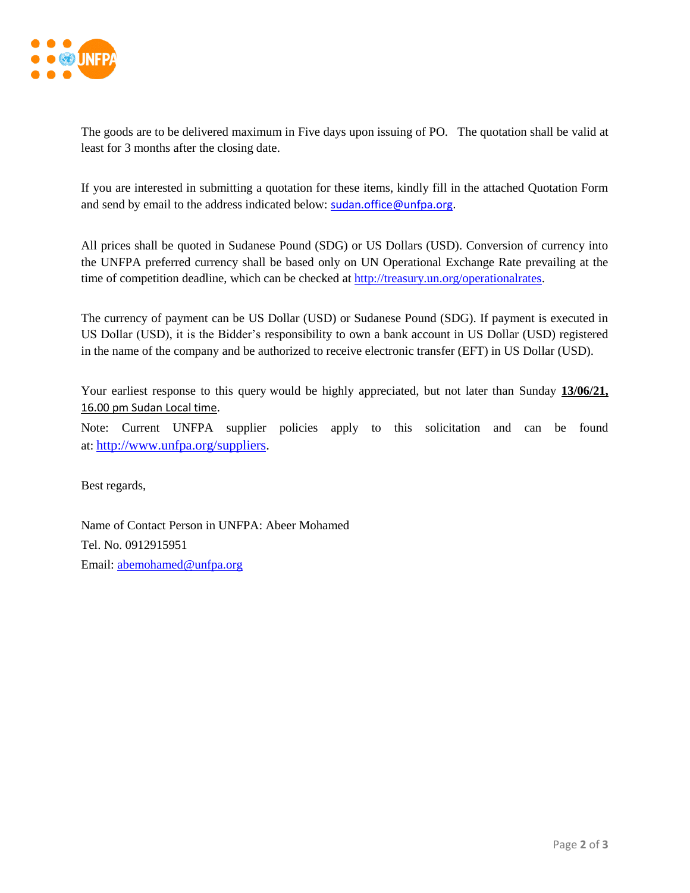

The goods are to be delivered maximum in Five days upon issuing of PO. The quotation shall be valid at least for 3 months after the closing date.

If you are interested in submitting a quotation for these items, kindly fill in the attached Quotation Form and send by email to the address indicated below: [sudan.office@unfpa.org.](mailto:sudan.office@unfpa.org)

All prices shall be quoted in Sudanese Pound (SDG) or US Dollars (USD). Conversion of currency into the UNFPA preferred currency shall be based only on UN Operational Exchange Rate prevailing at the time of competition deadline, which can be checked at [http://treasury.un.org/operationalrates.](http://treasury.un.org/operationalrates)

The currency of payment can be US Dollar (USD) or Sudanese Pound (SDG). If payment is executed in US Dollar (USD), it is the Bidder's responsibility to own a bank account in US Dollar (USD) registered in the name of the company and be authorized to receive electronic transfer (EFT) in US Dollar (USD).

Your earliest response to this query would be highly appreciated, but not later than Sunday 13/06/21, 16.00 pm Sudan Local time.

Note: Current UNFPA supplier policies apply to this solicitation and can be found at: [http://www.unfpa.org/suppliers.](http://www.unfpa.org/suppliers)

Best regards,

Name of Contact Person in UNFPA: Abeer Mohamed Tel. No. 0912915951 Email: [abemohamed@unfpa.org](mailto:abemohamed@unfpa.org)